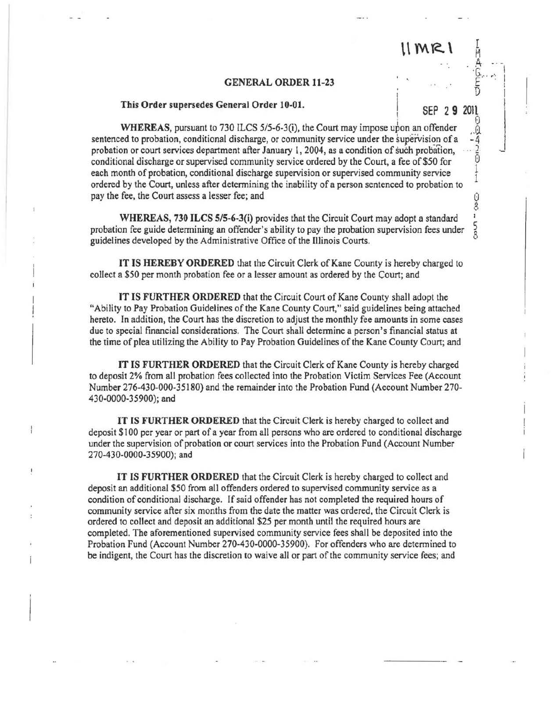## 11 MR 1

I

 $\frac{1}{1}$ 

0<br>8 i 5<br>8

 $E \sim 1$ 

## GENERAL ORDER 11-23

## This Order supersedes General Order 10-01. 2 9

WHEREAS, pursuant to 730 ILCS 5/5-6-3(i), the Court may impose ubon an offender **WHEREAS, pursuant to 730 ILCS 5/5-6-3(1), the Court may impose upon an oftender** ... 0<br>
sentenced to probation, conditional discharge, or community service under the supervision of a -4<br>
probation or court services depar probation or court services department after January 1, 2004, as a condition of such probation, conditional discharge or supervised community service ordered by the Court, a fee of\$50 for each month of probation, conditional discharge supervision or supervised community service ordered by the Court, unless after detennining the inability of a person sentenced to probation to pay the fee, the Court assess a lesser fee; and

WHEREAS, 730 ILCS S/5-6-3(i) provides that the Circuit Court may adopt a standard probation fee guide detennining an offender's ability to pay the probation supervision fees under guidelines developed by the Administrative Office of the Illinois Courts.

IT IS HEREBY ORDERED that the Circuit Clerk of Kane County is hereby charged to collect a \$50 per month probation fee or a lesser amount as ordered by the Court; and

IT IS FURTHER ORDERED that the Circuit Court of Kane County shall adopt the "Ability to Pay Probation Guidelines of the Kane County Court," said guidelines being attached hereto. In addition, the Court has the discretion to adjust the monthly fee amounts in some cases due to special financial considerations. The Court shall determine a person's financial status at the time of plea utilizing the Ability to Pay Probation Guidelines of the Kane County Court; and

IT IS FURTHER ORDERED that the Circuit Clerk of Kane County is hereby charged to deposit 2% from all probation fees collected into the Probation Victim Services Fee (Account Number 276-430-000-35180) and the remainder into the Probation Fund (Account Number 270- 430-0000-35900); and

IT IS FURTHER ORDERED that the Circuit Clerk is hereby charged to collect and deposit \$100 per year or part of a year from all persons who are ordered to conditional discharge under the supervision of probation or court services into the Probation Fund (Account Number 270-430-0000-35900); and

IT IS FURTHER ORDERED that the Circuit Clerk is hereby charged to collect and deposit an additional \$50 from all offenders ordered to supervised community service as a condition of conditional discharge. If said offender has not completed the required hours of community service after six months from the date the matter was ordered, the Circuit Clerk is ordered to collect and deposit an additional \$25 per month until the required hours are completed. The aforementioned supervised community service fees shall be deposited into the Probation Fund (Account Number 270-430-0000-35900). For offenders who are detennined to be indigent, the Court has the discretion to waive all or part of the community service fees; and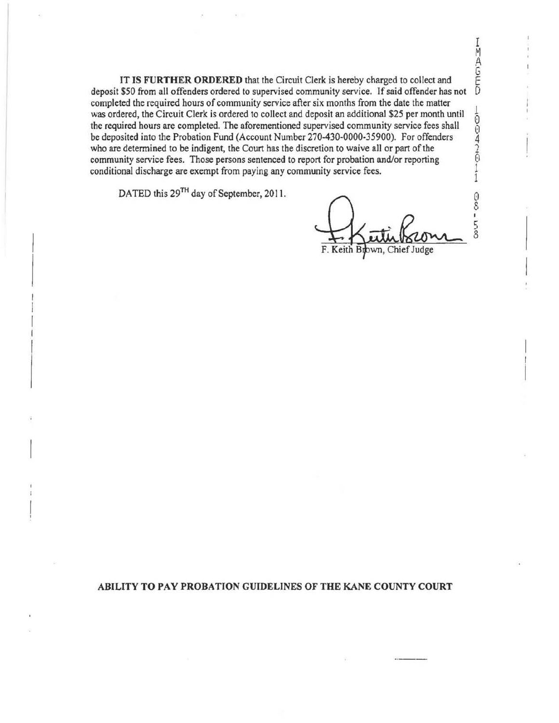IT IS FURTHER ORDERED that the Circuit Clerk is hereby charged to collect and deposit \$50 from all offenders ordered to supervised community service. If said offender has not completed the required hours of community service after six months from the date the matter was ordered, the Circuit Clerk is ordered to collect and deposit an additional \$25 per month until<br>the required hours are completed. The aforementioned supervised community service fees shall<br>be deposited into the Probati the required hours are completed. The aforementioned supervised community service fees shall be deposited into the Probation Fund (Account Number 270-430-0000-35900). For offenders who are determined to be indigent, the Court has the discretion to waive all or part of the community service fees. Those persons sentenced to report for probation and/or reporting conditional discharge are exempt from paying any community service fees.  $\frac{1}{1}$ 

DATED this 29<sup>TH</sup> day of September, 2011.

õ. 8 I 5 8

I  $\sum_{i=1}^{n}$ .A. G

## ABILITY TO PAY PROBATION GUIDELINES OF THE KANE COUNTY COURT